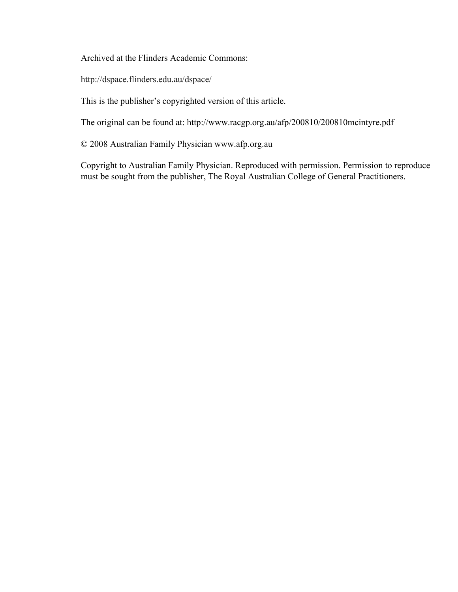Archived at the Flinders Academic Commons:

http://dspace.flinders.edu.au/dspace/

This is the publisher's copyrighted version of this article.

The original can be found at: http://www.racgp.org.au/afp/200810/200810mcintyre.pdf

© 2008 Australian Family Physician www.afp.org.au

Copyright to Australian Family Physician. Reproduced with permission. Permission to reproduce must be sought from the publisher, The Royal Australian College of General Practitioners.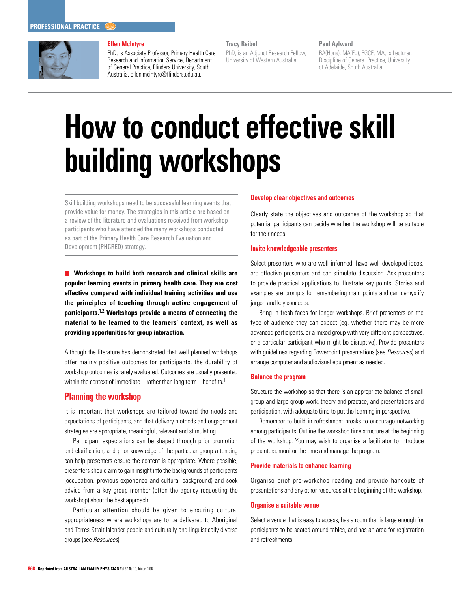

# **Ellen McIntyre**

PhD, is Associate Professor, Primary Health Care Research and Information Service, Department of General Practice, Flinders University, South Australia. ellen.mcintyre@flinders.edu.au.

**Tracy Reibel**

PhD, is an Adjunct Research Fellow, University of Western Australia.

#### **Paul Aylward**

BA(Hons), MA(Ed), PGCE, MA, is Lecturer, Discipline of General Practice, University of Adelaide, South Australia.

# **How to conduct effective skill building workshops**

Skill building workshops need to be successful learning events that provide value for money. The strategies in this article are based on a review of the literature and evaluations received from workshop participants who have attended the many workshops conducted as part of the Primary Health Care Research Evaluation and Development (PHCRED) strategy.

**Workshops to build both research and clinical skills are popular learning events in primary health care. They are cost effective compared with individual training activities and use the principles of teaching through active engagement of participants.1,2 Workshops provide a means of connecting the material to be learned to the learners' context, as well as providing opportunities for group interaction.** 

Although the literature has demonstrated that well planned workshops offer mainly positive outcomes for participants, the durability of workshop outcomes is rarely evaluated. Outcomes are usually presented within the context of immediate – rather than long term – benefits.<sup>1</sup>

# **Planning the workshop**

It is important that workshops are tailored toward the needs and expectations of participants, and that delivery methods and engagement strategies are appropriate, meaningful, relevant and stimulating.

Participant expectations can be shaped through prior promotion and clarification, and prior knowledge of the particular group attending can help presenters ensure the content is appropriate. Where possible, presenters should aim to gain insight into the backgrounds of participants (occupation, previous experience and cultural background) and seek advice from a key group member (often the agency requesting the workshop) about the best approach.

Particular attention should be given to ensuring cultural appropriateness where workshops are to be delivered to Aboriginal and Torres Strait Islander people and culturally and linguistically diverse groups (see Resources).

## **Develop clear objectives and outcomes**

Clearly state the objectives and outcomes of the workshop so that potential participants can decide whether the workshop will be suitable for their needs.

# **Invite knowledgeable presenters**

Select presenters who are well informed, have well developed ideas, are effective presenters and can stimulate discussion. Ask presenters to provide practical applications to illustrate key points. Stories and examples are prompts for remembering main points and can demystify jargon and key concepts.

Bring in fresh faces for longer workshops. Brief presenters on the type of audience they can expect (eg. whether there may be more advanced participants, or a mixed group with very different perspectives, or a particular participant who might be disruptive). Provide presenters with guidelines regarding Powerpoint presentations (see Resources) and arrange computer and audiovisual equipment as needed.

#### **Balance the program**

Structure the workshop so that there is an appropriate balance of small group and large group work, theory and practice, and presentations and participation, with adequate time to put the learning in perspective.

Remember to build in refreshment breaks to encourage networking among participants. Outline the workshop time structure at the beginning of the workshop. You may wish to organise a facilitator to introduce presenters, monitor the time and manage the program.

# **Provide materials to enhance learning**

Organise brief pre-workshop reading and provide handouts of presentations and any other resources at the beginning of the workshop.

# **Organise a suitable venue**

Select a venue that is easy to access, has a room that is large enough for participants to be seated around tables, and has an area for registration and refreshments.